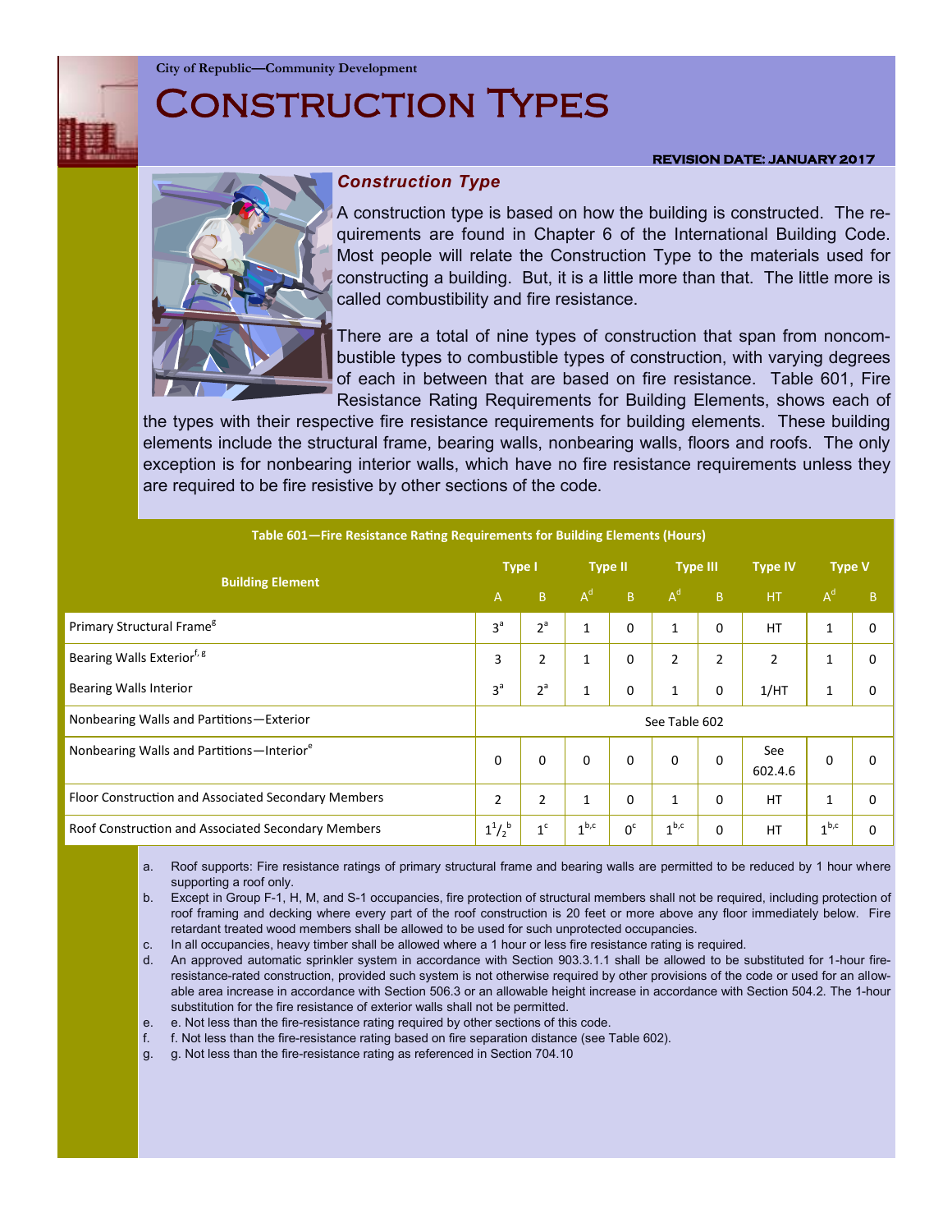**City of Republic—Community Development**

# Construction Types

#### **REVISION DATE: JANUARY 2017**



## *Construction Type*

A construction type is based on how the building is constructed. The requirements are found in Chapter 6 of the International Building Code. Most people will relate the Construction Type to the materials used for constructing a building. But, it is a little more than that. The little more is called combustibility and fire resistance.

There are a total of nine types of construction that span from noncombustible types to combustible types of construction, with varying degrees of each in between that are based on fire resistance. Table 601, Fire Resistance Rating Requirements for Building Elements, shows each of

the types with their respective fire resistance requirements for building elements. These building elements include the structural frame, bearing walls, nonbearing walls, floors and roofs. The only exception is for nonbearing interior walls, which have no fire resistance requirements unless they are required to be fire resistive by other sections of the code.

| Table 601-Fire Resistance Rating Requirements for Building Elements (Hours) |                |                |                  |                |                  |                |                |                  |   |
|-----------------------------------------------------------------------------|----------------|----------------|------------------|----------------|------------------|----------------|----------------|------------------|---|
| <b>Building Element</b>                                                     |                | <b>Type I</b>  |                  | <b>Type II</b> |                  | Type III       | <b>Type IV</b> | <b>Type V</b>    |   |
|                                                                             |                | B.             | $A^d$            | B              | $A^d$            | B              | HT             | $A^d$            | B |
| Primary Structural Frame <sup>g</sup>                                       | 3 <sup>a</sup> | $2^a$          | $\mathbf{1}$     | $\Omega$       | $\mathbf{1}$     | $\Omega$       | <b>HT</b>      | 1                | 0 |
| Bearing Walls Exterior <sup>f, g</sup>                                      | 3              | $\overline{2}$ | 1                | 0              | $\overline{2}$   | $\overline{2}$ | $\overline{2}$ | 1                | 0 |
| <b>Bearing Walls Interior</b>                                               | 3 <sup>a</sup> | 2 <sup>a</sup> | 1                | 0              | $\mathbf{1}$     | 0              | 1/HT           |                  | 0 |
| Nonbearing Walls and Partitions-Exterior                                    | See Table 602  |                |                  |                |                  |                |                |                  |   |
| Nonbearing Walls and Partitions-Interior <sup>e</sup>                       | $\Omega$       | $\Omega$       | $\Omega$         | $\Omega$       | $\Omega$         | $\Omega$       | See<br>602.4.6 | 0                | 0 |
| Floor Construction and Associated Secondary Members                         | 2              | $\overline{2}$ | $\mathbf{1}$     | $\Omega$       | 1                | $\Omega$       | <b>HT</b>      | 1                | 0 |
| Roof Construction and Associated Secondary Members                          | $1^{1}/2^{b}$  | 1 <sup>c</sup> | 1 <sup>b,c</sup> | 0 <sup>c</sup> | 1 <sup>b,c</sup> | $\Omega$       | HT             | 1 <sup>b,c</sup> | 0 |

a. Roof supports: Fire resistance ratings of primary structural frame and bearing walls are permitted to be reduced by 1 hour where supporting a roof only.

b. Except in Group F-1, H, M, and S-1 occupancies, fire protection of structural members shall not be required, including protection of roof framing and decking where every part of the roof construction is 20 feet or more above any floor immediately below. Fire retardant treated wood members shall be allowed to be used for such unprotected occupancies.

c. In all occupancies, heavy timber shall be allowed where a 1 hour or less fire resistance rating is required.

d. An approved automatic sprinkler system in accordance with Section 903.3.1.1 shall be allowed to be substituted for 1-hour fireresistance-rated construction, provided such system is not otherwise required by other provisions of the code or used for an allowable area increase in accordance with Section 506.3 or an allowable height increase in accordance with Section 504.2. The 1-hour substitution for the fire resistance of exterior walls shall not be permitted.

- e. e. Not less than the fire-resistance rating required by other sections of this code.
- f. f. Not less than the fire-resistance rating based on fire separation distance (see Table 602).
- g. g. Not less than the fire-resistance rating as referenced in Section 704.10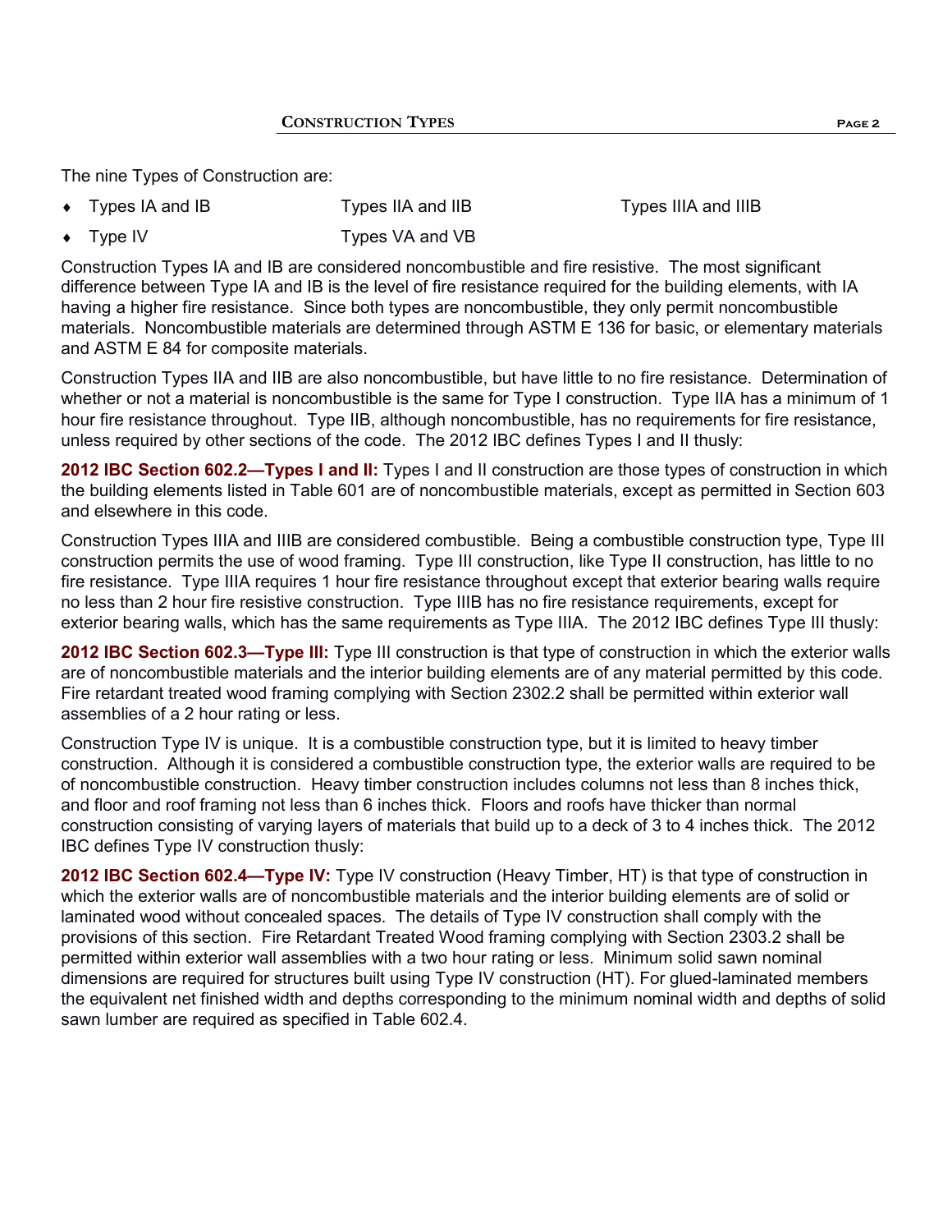The nine Types of Construction are:

- Types IA and IB Types IIA and IIB Types IIIA and IIIB
	-

Type IV Types VA and VB

Construction Types IA and IB are considered noncombustible and fire resistive. The most significant difference between Type IA and IB is the level of fire resistance required for the building elements, with IA having a higher fire resistance. Since both types are noncombustible, they only permit noncombustible materials. Noncombustible materials are determined through ASTM E 136 for basic, or elementary materials and ASTM E 84 for composite materials.

Construction Types IIA and IIB are also noncombustible, but have little to no fire resistance. Determination of whether or not a material is noncombustible is the same for Type I construction. Type IIA has a minimum of 1 hour fire resistance throughout. Type IIB, although noncombustible, has no requirements for fire resistance, unless required by other sections of the code. The 2012 IBC defines Types I and II thusly:

**2012 IBC Section 602.2—Types I and II:** Types I and II construction are those types of construction in which the building elements listed in Table 601 are of noncombustible materials, except as permitted in Section 603 and elsewhere in this code.

Construction Types IIIA and IIIB are considered combustible. Being a combustible construction type, Type III construction permits the use of wood framing. Type III construction, like Type II construction, has little to no fire resistance. Type IIIA requires 1 hour fire resistance throughout except that exterior bearing walls require no less than 2 hour fire resistive construction. Type IIIB has no fire resistance requirements, except for exterior bearing walls, which has the same requirements as Type IIIA. The 2012 IBC defines Type III thusly:

**2012 IBC Section 602.3—Type III:** Type III construction is that type of construction in which the exterior walls are of noncombustible materials and the interior building elements are of any material permitted by this code. Fire retardant treated wood framing complying with Section 2302.2 shall be permitted within exterior wall assemblies of a 2 hour rating or less.

Construction Type IV is unique. It is a combustible construction type, but it is limited to heavy timber construction. Although it is considered a combustible construction type, the exterior walls are required to be of noncombustible construction. Heavy timber construction includes columns not less than 8 inches thick, and floor and roof framing not less than 6 inches thick. Floors and roofs have thicker than normal construction consisting of varying layers of materials that build up to a deck of 3 to 4 inches thick. The 2012 IBC defines Type IV construction thusly:

**2012 IBC Section 602.4—Type IV:** Type IV construction (Heavy Timber, HT) is that type of construction in which the exterior walls are of noncombustible materials and the interior building elements are of solid or laminated wood without concealed spaces. The details of Type IV construction shall comply with the provisions of this section. Fire Retardant Treated Wood framing complying with Section 2303.2 shall be permitted within exterior wall assemblies with a two hour rating or less. Minimum solid sawn nominal dimensions are required for structures built using Type IV construction (HT). For glued-laminated members the equivalent net finished width and depths corresponding to the minimum nominal width and depths of solid sawn lumber are required as specified in Table 602.4.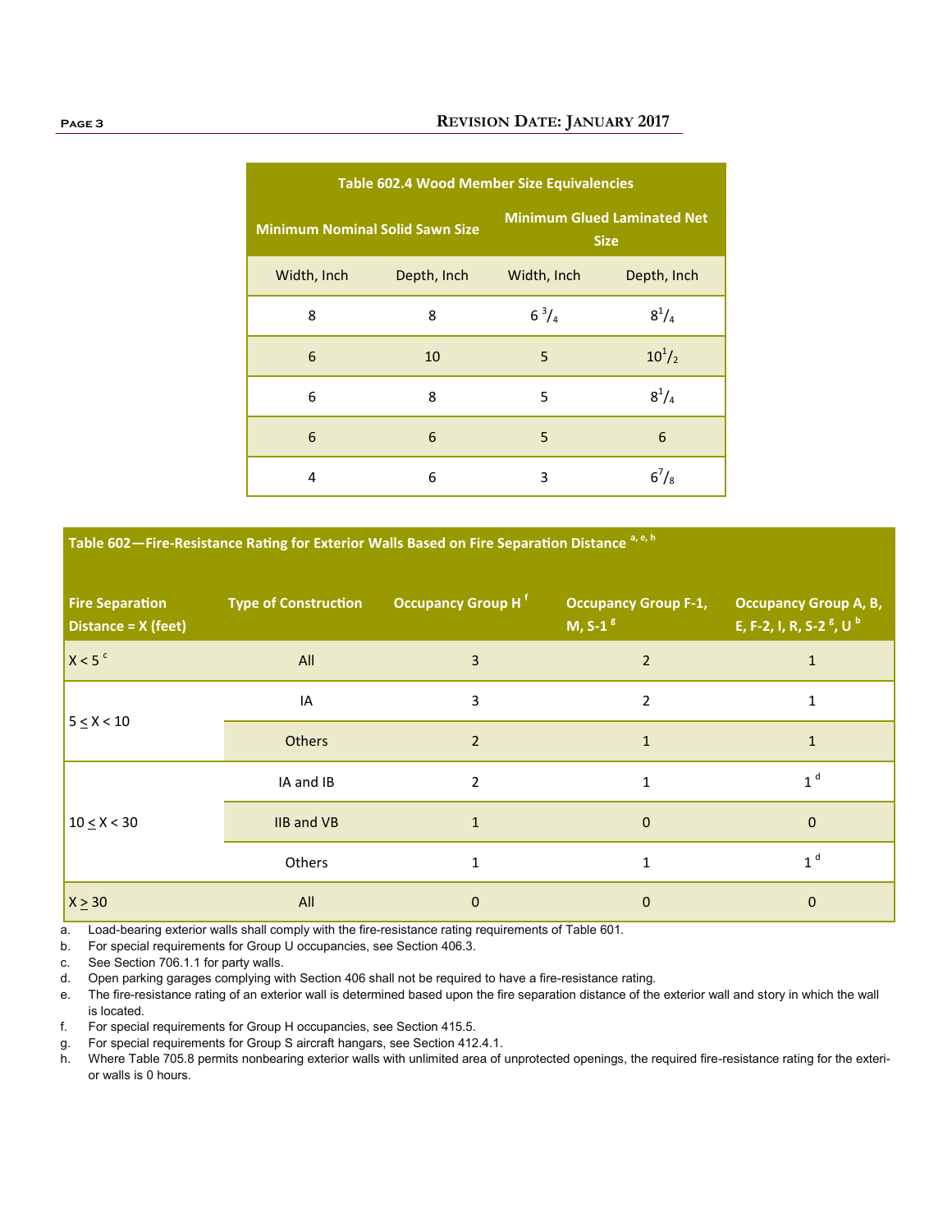## **Page 3 REVISION DATE: JANUARY 2017**

| <b>Table 602.4 Wood Member Size Equivalencies</b> |             |                                                   |               |  |  |  |
|---------------------------------------------------|-------------|---------------------------------------------------|---------------|--|--|--|
| <b>Minimum Nominal Solid Sawn Size</b>            |             | <b>Minimum Glued Laminated Net</b><br><b>Size</b> |               |  |  |  |
| Width, Inch                                       | Depth, Inch | Width, Inch                                       | Depth, Inch   |  |  |  |
| 8                                                 | 8           | $6^{3}/_{4}$                                      | $8^{1}/_{4}$  |  |  |  |
| 6                                                 | 10          | 5                                                 | $10^{1}/_{2}$ |  |  |  |
| 6                                                 | 8           | 5                                                 | $8^{1}/_{4}$  |  |  |  |
| 6                                                 | 6           | 5                                                 | 6             |  |  |  |
| 4                                                 | 6           | 3                                                 | $6^{7}/_{8}$  |  |  |  |

**Table 602—Fire-Resistance Rating for Exterior Walls Based on Fire Separation Distance a, e, h**

| <b>Fire Separation</b><br>Distance = X (feet) | <b>Type of Construction</b> | Occupancy Group H <sup>f</sup> | <b>Occupancy Group F-1,</b><br>M, S-1 $g$ | <b>Occupancy Group A, B,</b><br>E, F-2, I, R, S-2 <sup>g</sup> , U <sup>b</sup> |
|-----------------------------------------------|-----------------------------|--------------------------------|-------------------------------------------|---------------------------------------------------------------------------------|
| X < 5 <sup>c</sup>                            | All                         | 3                              | $\overline{2}$                            | $\mathbf{1}$                                                                    |
| $5 \le X < 10$                                | IA                          | 3                              | $\overline{2}$                            | $\mathbf{1}$                                                                    |
|                                               | <b>Others</b>               | $\overline{2}$                 | $\mathbf{1}$                              | $\mathbf{1}$                                                                    |
| $10 \le X < 30$                               | IA and IB                   | $\overline{2}$                 | $\mathbf{1}$                              | 1 <sup>d</sup>                                                                  |
|                                               | <b>IIB and VB</b>           | $\mathbf{1}$                   | $\mathbf 0$                               | $\mathbf{0}$                                                                    |
|                                               | Others                      | 1                              | $\mathbf{1}$                              | 1 <sup>d</sup>                                                                  |
| $X \geq 30$                                   | All                         | 0                              | $\mathbf 0$                               | $\mathbf 0$                                                                     |

a. Load-bearing exterior walls shall comply with the fire-resistance rating requirements of Table 601.

b. For special requirements for Group U occupancies, see Section 406.3.

c. See Section 706.1.1 for party walls.

d. Open parking garages complying with Section 406 shall not be required to have a fire-resistance rating.

e. The fire-resistance rating of an exterior wall is determined based upon the fire separation distance of the exterior wall and story in which the wall is located.

f. For special requirements for Group H occupancies, see Section 415.5.

g. For special requirements for Group S aircraft hangars, see Section 412.4.1.

h. Where Table 705.8 permits nonbearing exterior walls with unlimited area of unprotected openings, the required fire-resistance rating for the exterior walls is 0 hours.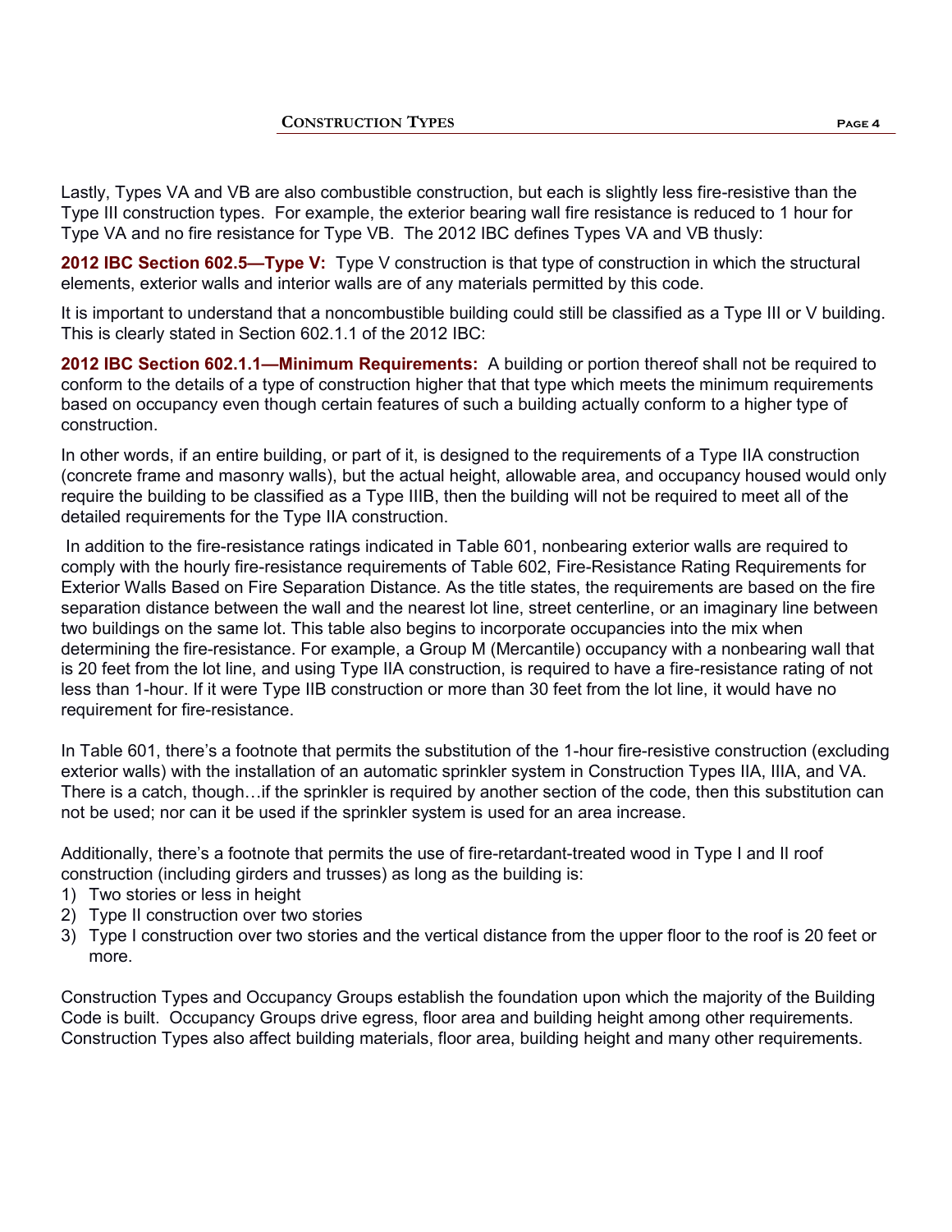Lastly, Types VA and VB are also combustible construction, but each is slightly less fire-resistive than the Type III construction types. For example, the exterior bearing wall fire resistance is reduced to 1 hour for Type VA and no fire resistance for Type VB. The 2012 IBC defines Types VA and VB thusly:

**2012 IBC Section 602.5—Type V:** Type V construction is that type of construction in which the structural elements, exterior walls and interior walls are of any materials permitted by this code.

It is important to understand that a noncombustible building could still be classified as a Type III or V building. This is clearly stated in Section 602.1.1 of the 2012 IBC:

**2012 IBC Section 602.1.1—Minimum Requirements:** A building or portion thereof shall not be required to conform to the details of a type of construction higher that that type which meets the minimum requirements based on occupancy even though certain features of such a building actually conform to a higher type of construction.

In other words, if an entire building, or part of it, is designed to the requirements of a Type IIA construction (concrete frame and masonry walls), but the actual height, allowable area, and occupancy housed would only require the building to be classified as a Type IIIB, then the building will not be required to meet all of the detailed requirements for the Type IIA construction.

In addition to the fire-resistance ratings indicated in Table 601, nonbearing exterior walls are required to comply with the hourly fire-resistance requirements of Table 602, Fire-Resistance Rating Requirements for Exterior Walls Based on Fire Separation Distance. As the title states, the requirements are based on the fire separation distance between the wall and the nearest lot line, street centerline, or an imaginary line between two buildings on the same lot. This table also begins to incorporate occupancies into the mix when determining the fire-resistance. For example, a Group M (Mercantile) occupancy with a nonbearing wall that is 20 feet from the lot line, and using Type IIA construction, is required to have a fire-resistance rating of not less than 1-hour. If it were Type IIB construction or more than 30 feet from the lot line, it would have no requirement for fire-resistance.

In Table 601, there's a footnote that permits the substitution of the 1-hour fire-resistive construction (excluding exterior walls) with the installation of an automatic sprinkler system in Construction Types IIA, IIIA, and VA. There is a catch, though…if the sprinkler is required by another section of the code, then this substitution can not be used; nor can it be used if the sprinkler system is used for an area increase.

Additionally, there's a footnote that permits the use of fire-retardant-treated wood in Type I and II roof construction (including girders and trusses) as long as the building is:

- 1) Two stories or less in height
- 2) Type II construction over two stories
- 3) Type I construction over two stories and the vertical distance from the upper floor to the roof is 20 feet or more.

Construction Types and Occupancy Groups establish the foundation upon which the majority of the Building Code is built. Occupancy Groups drive egress, floor area and building height among other requirements. Construction Types also affect building materials, floor area, building height and many other requirements.